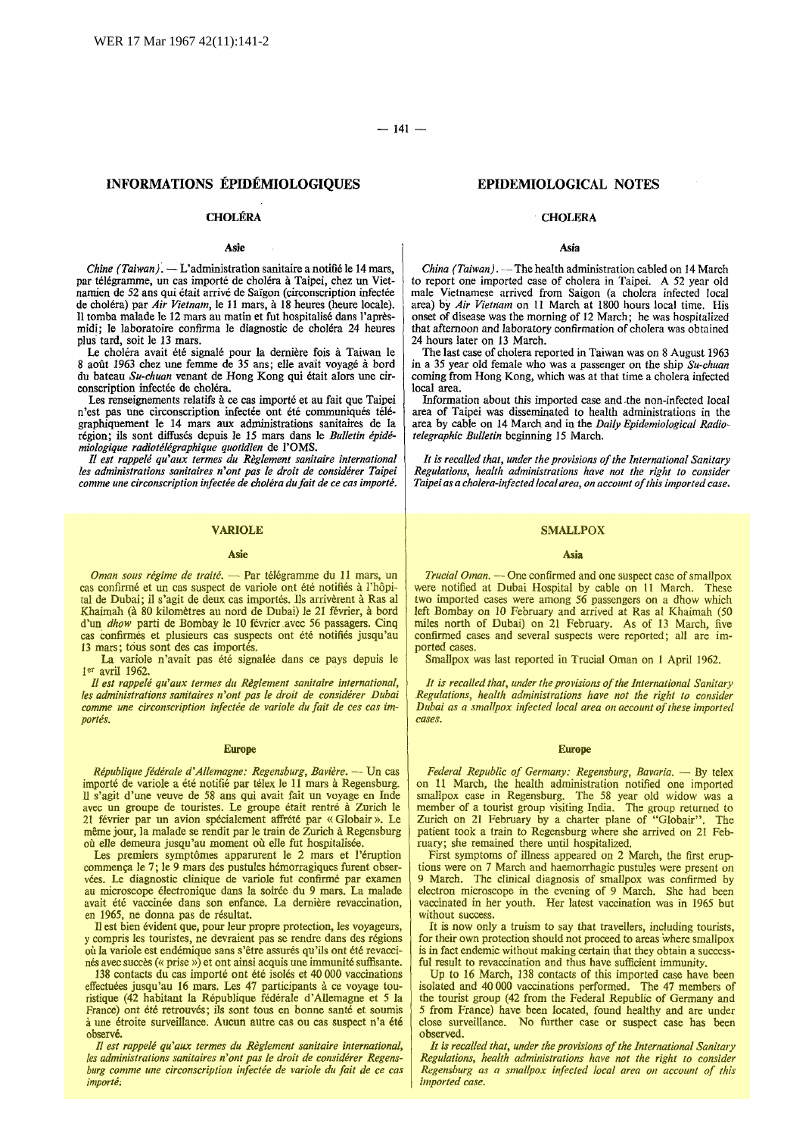# INFORMATIONS EPIDEMIOLOGIQUES

## **CHOLÉRA**

# Asie

*Chine (Taiwan).* - L'administration sanitaire a notifié le 14 mars, par télégramme, un cas importé de choléra à Taipei, chez un Vietnamien de 52 ans qui était arrivé de Saïgon (circonscription infectée de cholera) par *Air Vietnam,* le 11 mars, a 18 heures (heure locale). Il tomba malade le 12 mars au matin et fut hospitalise dans l'apresmidi; le laboratoire confirma le diagnostic de choléra 24 heures plus· tard, soit le 13 mars.

Le choléra avait été signalé pour la dernière fois à Taiwan le 8 août 1963 chez une femme de 35 ans; elle avait voyagé à bord du bateau *Su-chuan* venant de Hong Kong qui etait alors une circonscription infectée de choléra.

Les renseignements relatifs à ce cas importé et au fait que Taipei n'est pas une circonscription infectée ont été communiqués télégraphiquement Ie 14 mars aux administrations sanitaires de Ia region; ils sont diffuses depuis Ie *15* mars dans le *Bulletin epidemiologique radiote!egraphique quotidien* de l'OMS.

*II est rappe/e qu'aux termes du Reglement sanitaire international les administrations sanitaires n'ont pas le droit de considerer Taipei comme une circonscription infectee de cholera dufait de ce cas importe.* 

### VARIOLE

### Asie

Oman sous régime de traité. - Par télégramme du 11 mars, un cas confirmé et un cas suspect de variole ont été notifiés à l'hôpital de Dubai; il s'agit de deux cas importés. Ils arrivèrent à Ras al Khaimah (à 80 kilomètres au nord de Dubai) le 21 février, à bord d'un *dhow* parti de Bombay le 10 février avec 56 passagers. Cinq cas confirmes et plusieurs cas suspects ont ete notifies jusqu'au 13 mars; tous sont des cas importés.

La variole n'avait pas été signalée dans ce pays depuis le 1er avril 1962.

*Il est rappe/e qu'aux termes du Reglement sanitaire international, les administrations sanitaires n'ont pas le droit de considerer Dubai comme une circonscription infectee de variole du fait de ces cas importes.* 

### Europe

*République fédérale d'Allemagne: Regensburg, Bavière.* -- Un cas importé de variole a été notifié par télex le 11 mars à Regensburg. II s'agit d'une veuve de 58 ans qui avait fait un voyage en Inde avec un groupe de touristes. Le groupe était rentré à Zurich le 21 fevrier par un avion specialement affrete par « Globair ». Le meme jour, Ia malade se rendit par le train de Zurich a Regensburg où elle demeura jusqu'au moment où elle fut hospitalisée.

Les premiers symptômes apparurent le 2 mars et l'éruption commem;a le 7; Ie 9 mars des pustules hemorragiques furent observees. Le diagnostic clinique de variole fut confirme par examen au microscope électronique dans la soirée du 9 mars. La malade avait été vaccinée dans son enfance. La dernière revaccination, en 1965, ne donna pas de résultat.

II est bien evident que, pour leur propre protection, les voyageurs, y compris les touristes, ne devraient pas se rendre dans des regions ou Ia variole est endemique sans s'etre assures qu'ils ont ete revaccinés avec succès (« prise ») et ont ainsi acquis une immunité suffisante.

138 contacts du cas importe ont ete isoles et 40 000 vaccinations effectuées jusqu'au 16 mars. Les 47 participants à ce voyage touristique (42 habitant Ia Republique federale d'Allemagne et *5* Ia France) ont été retrouvés; ils sont tous en bonne santé et soumis<br>à une étroite surveillance. Aucun autre cas ou cas suspect n'a été observé.

*II est rappe/e qu'aux termes du Reglement sanitaire international, les administrations sanitaires n'ont pas le droit de considerer Regensburg comme une circonscription infectee de variole du fait de ce cas importe;* 

# EPIDEMIOLOGICAL NOTES

### **CHOLERA**

## Asia

*China (Taiwan).* - The health administration cabled on 14 March to report one imported case of cholera in Taipei. A 52 year old male Vietnamese arrived from Saigon (a cholera infected local area) by *Air Vietnam* on 11 March at 1800 hours local time. His onset of disease was the morning of 12 March; he was hospitalized that afternoon and laboratory confirmation of cholera was obtained 24 hours later on 13 March.

The last case of cholera reported in Taiwan was on 8 August 1963 in a 35 year old female who was a passenger on the ship *Su-chuan*  coming from Hong Kong, which was at that time a cholera infected local area.

Information about this imported case and .the non-infected local area of Taipei was disseminated to health administrations in the area by cable on 14 March and in the *Daily Epidemiological Radiotelegraphic Bulletin* beginning 15 March.

*It is recalled that, under the provisions of the International Sanitary Regulations, health administrations have not the right to consider*  Taipei as a cholera-infected local area, on account of this imported case.

### **SMALLPOX**

### Asia

*Trucial Oman.* - One confirmed and one suspect case of smallpox were notified at Dubai Hospital by cable on 11 March. These two imported cases were among *56* passengers on a dhow which left Bombay on 10 February and arrived at Ras al Khaimah (50 miles north of Dubai) on 21 February. As of 13 March, five confirmed cases and several suspects were reported; all are imported cases.

Smallpox was last reported in Trucial Oman on I April 1962.

*It is recalled that, under the provisions of the International Sanitary Regulations, health administrations have not the right to consider Dubai as a smallpox infected local area on account of these imported cases.* 

### Europe

Federal Republic of Germany: Regensburg, Bavaria. - By telex on 11 March, the health administration notified one imported smallpox case in Regensburg. The 58 year old widow was a member of a tourist group visiting India. The group returned to Zurich on 21 February by a charter plane of "G!obair". The patient took a train to Regensburg where she arrived on 21 February; she remained there until hospitalized.

First symptoms of illness appeared on 2 March, the first eruptions were on 7 March and haemorrhagic pustules were present on 9 March. The clinical diagnosis of smallpox was confirmed by electron microscope in the evening of 9 March. She had been vaccinated in her youth. Her latest vaccination was in 1965 but without success.

It is now only a truism to say that travellers, including tourists, for their own protection should not proceed to areas where smallpox is in fact endemic without making certain that they obtain a successful result to revaccination and thus have sufficient immunity.

Up to 16 March, 138 contacts of this imported case have been isolated and 40 000 vaccinations performed. The 47 members of the tourist group (42 from the Federal Republic of Germany and *5* from France) have been located, found healthy and are under close surveillance. No further case or suspect case has been observed.

*It is recalled that, under the provisions of the International Sanitary Regulations, health administrations have not the right to consider Regensburg as a smallpox infected local area on account of this imported case.*